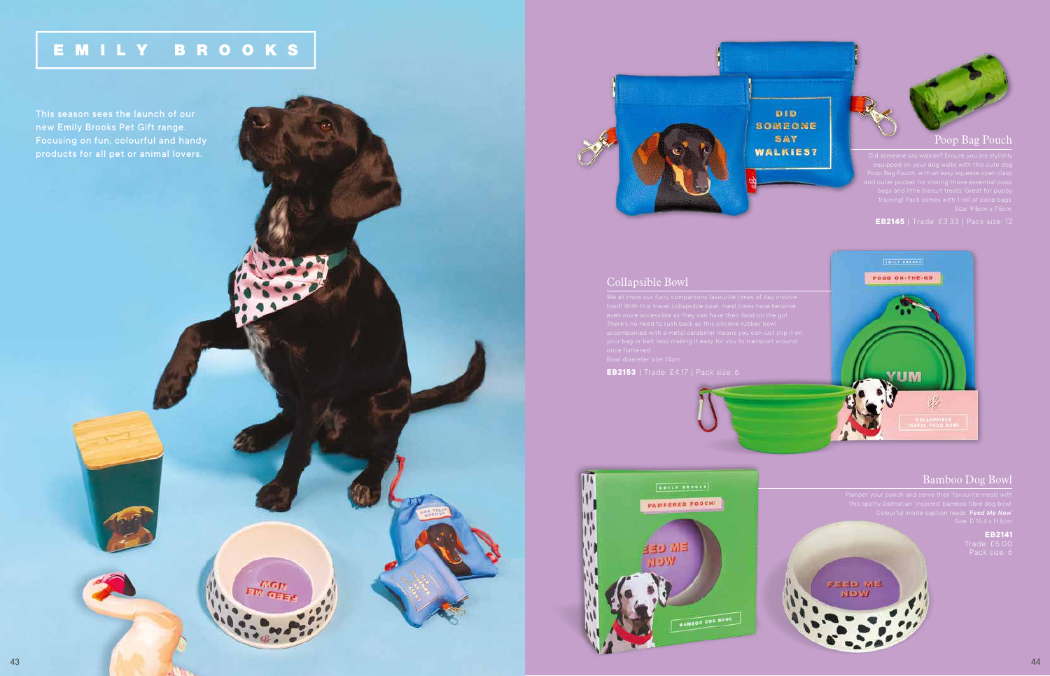## EMILY BROOKS

**MGH ETT GEE** 



### Collapsible Bowl

**EB2153** | Trade: £4.17 | Pack size: 6





#### Bamboo Dog Bowl

# **EB2141**



new Emily Brooks Pet Gift range. Focusing on fun, colourful and handy products for all pet or animal lovers.

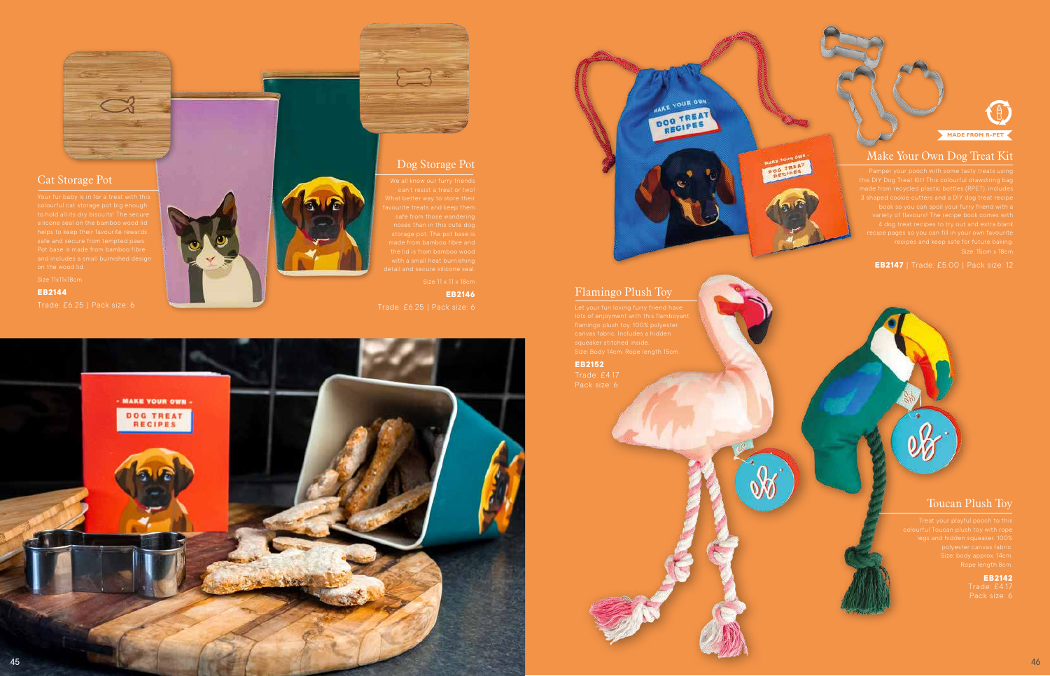#### Make Your Own Dog Treat Kit

**EB2147** | Trade: £5.00 | Pack size: 12



#### Cat Storage Pot

**EB2144**







**EB2146** 

#### Flamingo Plush Toy

**EB2152**

#### Toucan Plush Toy

**EB2142**